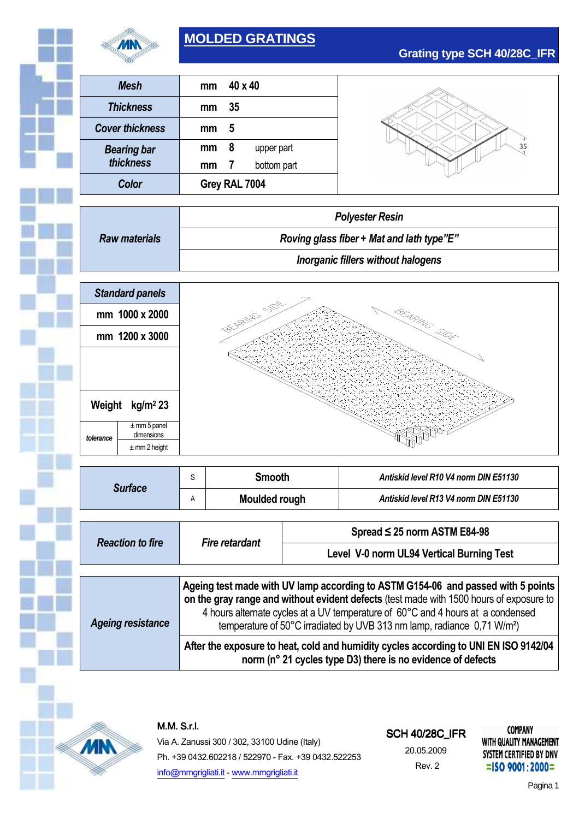

# **MOLDED GRATINGS**

| <b>Mesh</b>            | mm            | $40 \times 40$ |             |
|------------------------|---------------|----------------|-------------|
| <b>Thickness</b>       | mm            | 35             |             |
| <b>Cover thickness</b> | mm            | 5              |             |
| <b>Bearing bar</b>     | mm            | 8              | upper part  |
| thickness              | mm            | 7              | bottom part |
| Color                  | Grey RAL 7004 |                |             |

**Grating type SCH 40/28C\_IFR**

|                      | <b>Polyester Resin</b>                    |  |
|----------------------|-------------------------------------------|--|
| <b>Raw materials</b> | Roving glass fiber + Mat and lath type"E" |  |
|                      | Inorganic fillers without halogens        |  |



| <b>Surface</b>           | S                                                                                   | <b>Smooth</b><br>Moulded rough                                                          |                                   | Antiskid level R10 V4 norm DIN E51130                                            |  |  |
|--------------------------|-------------------------------------------------------------------------------------|-----------------------------------------------------------------------------------------|-----------------------------------|----------------------------------------------------------------------------------|--|--|
|                          | A                                                                                   |                                                                                         |                                   | Antiskid level R13 V4 norm DIN E51130                                            |  |  |
|                          |                                                                                     |                                                                                         |                                   |                                                                                  |  |  |
|                          |                                                                                     |                                                                                         | Spread $\leq$ 25 norm ASTM E84-98 |                                                                                  |  |  |
| <b>Reaction to fire</b>  | <b>Fire retardant</b>                                                               |                                                                                         |                                   | Level V-0 norm UL94 Vertical Burning Test                                        |  |  |
|                          |                                                                                     |                                                                                         |                                   |                                                                                  |  |  |
|                          |                                                                                     |                                                                                         |                                   | Ageing test made with UV lamp according to ASTM G154-06 and passed with 5 points |  |  |
|                          |                                                                                     | on the gray range and without evident defects (test made with 1500 hours of exposure to |                                   |                                                                                  |  |  |
|                          |                                                                                     |                                                                                         |                                   | 4 hours alternate cycles at a UV temperature of 60°C and 4 hours at a condensed  |  |  |
| <b>Ageing resistance</b> | temperature of 50°C irradiated by UVB 313 nm lamp, radiance 0,71 W/m <sup>2</sup> ) |                                                                                         |                                   |                                                                                  |  |  |

**After the exposure to heat, cold and humidity cycles according to UNI EN ISO 9142/04 norm (n° 21 cycles type D3) there is no evidence of defects**



M.M.S.r.l.

Via A. Zanussi 300 / 302, 33100 Udine (Italy) Ph. +39 0432.602218 / 522970 - Fax. +39 0432.522253 info@mmgrigliati.it - www.mmgrigliati.it

### **SCH 40/28C\_IFR**

20.05.2009 Rev. 2

**COMPANY** WITH QUALITY MANAGEMENT SYSTEM CERTIFIED BY DNV  $=$ ISO 9001:2000=